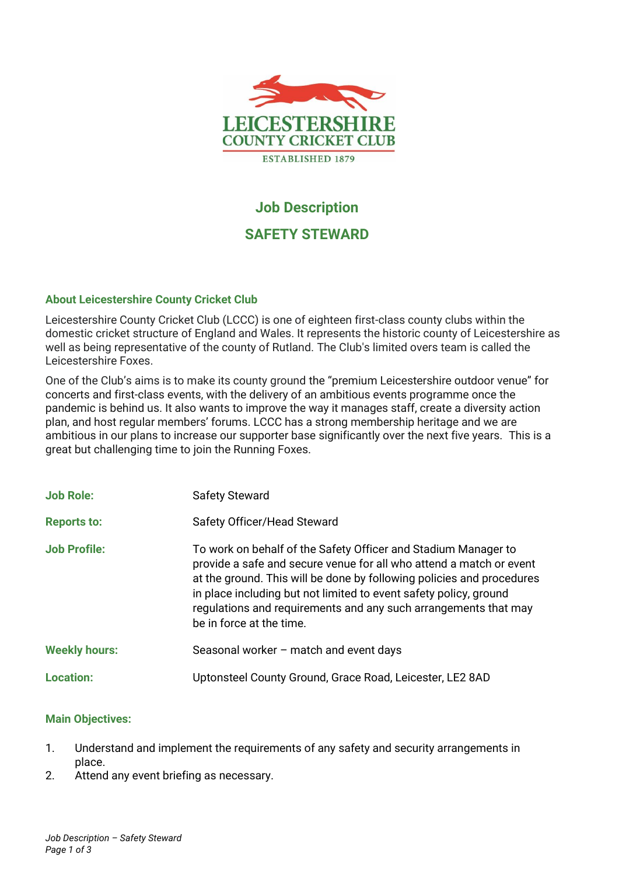

# **Job Description**

# **SAFETY STEWARD**

## **About Leicestershire County Cricket Club**

Leicestershire County Cricket Club (LCCC) is one of eighteen first-class county clubs within the domestic cricket structure of England and Wales. It represents the historic county of Leicestershire as well as being representative of the county of Rutland. The Club's limited overs team is called the Leicestershire Foxes.

One of the Club's aims is to make its county ground the "premium Leicestershire outdoor venue" for concerts and first-class events, with the delivery of an ambitious events programme once the pandemic is behind us. It also wants to improve the way it manages staff, create a diversity action plan, and host regular members' forums. LCCC has a strong membership heritage and we are ambitious in our plans to increase our supporter base significantly over the next five years. This is a great but challenging time to join the Running Foxes.

| <b>Job Role:</b>     | <b>Safety Steward</b>                                                                                                                                                                                                                                                                                                                                                              |
|----------------------|------------------------------------------------------------------------------------------------------------------------------------------------------------------------------------------------------------------------------------------------------------------------------------------------------------------------------------------------------------------------------------|
| <b>Reports to:</b>   | Safety Officer/Head Steward                                                                                                                                                                                                                                                                                                                                                        |
| <b>Job Profile:</b>  | To work on behalf of the Safety Officer and Stadium Manager to<br>provide a safe and secure venue for all who attend a match or event<br>at the ground. This will be done by following policies and procedures<br>in place including but not limited to event safety policy, ground<br>regulations and requirements and any such arrangements that may<br>be in force at the time. |
| <b>Weekly hours:</b> | Seasonal worker - match and event days                                                                                                                                                                                                                                                                                                                                             |
| <b>Location:</b>     | Uptonsteel County Ground, Grace Road, Leicester, LE2 8AD                                                                                                                                                                                                                                                                                                                           |

#### **Main Objectives:**

- 1. Understand and implement the requirements of any safety and security arrangements in place.
- 2. Attend any event briefing as necessary.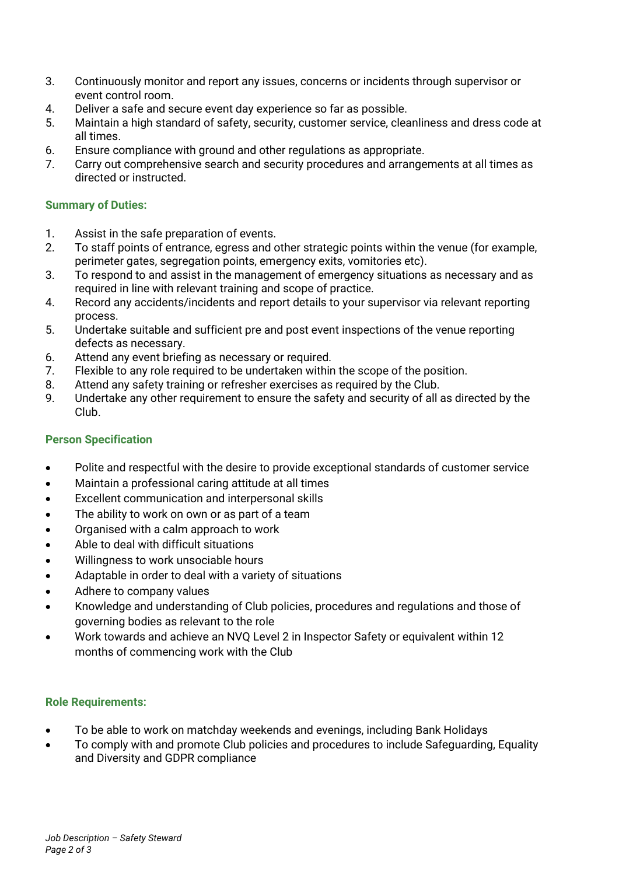- 3. Continuously monitor and report any issues, concerns or incidents through supervisor or event control room.
- 4. Deliver a safe and secure event day experience so far as possible.
- 5. Maintain a high standard of safety, security, customer service, cleanliness and dress code at all times.
- 6. Ensure compliance with ground and other regulations as appropriate.
- 7. Carry out comprehensive search and security procedures and arrangements at all times as directed or instructed.

#### **Summary of Duties:**

- 1. Assist in the safe preparation of events.
- 2. To staff points of entrance, egress and other strategic points within the venue (for example, perimeter gates, segregation points, emergency exits, vomitories etc).
- 3. To respond to and assist in the management of emergency situations as necessary and as required in line with relevant training and scope of practice.
- 4. Record any accidents/incidents and report details to your supervisor via relevant reporting process.
- 5. Undertake suitable and sufficient pre and post event inspections of the venue reporting defects as necessary.
- 6. Attend any event briefing as necessary or required.
- 7. Flexible to any role required to be undertaken within the scope of the position.
- 8. Attend any safety training or refresher exercises as required by the Club.
- 9. Undertake any other requirement to ensure the safety and security of all as directed by the Club.

#### **Person Specification**

- Polite and respectful with the desire to provide exceptional standards of customer service
- Maintain a professional caring attitude at all times
- Excellent communication and interpersonal skills
- The ability to work on own or as part of a team
- Organised with a calm approach to work
- Able to deal with difficult situations
- Willingness to work unsociable hours
- Adaptable in order to deal with a variety of situations
- Adhere to company values
- Knowledge and understanding of Club policies, procedures and regulations and those of governing bodies as relevant to the role
- Work towards and achieve an NVQ Level 2 in Inspector Safety or equivalent within 12 months of commencing work with the Club

#### **Role Requirements:**

- To be able to work on matchday weekends and evenings, including Bank Holidays
- To comply with and promote Club policies and procedures to include Safeguarding, Equality and Diversity and GDPR compliance